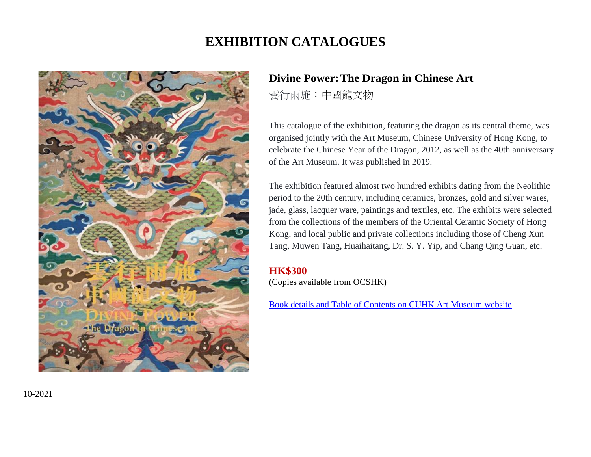# **EXHIBITION CATALOGUES**



# **Divine Power:The Dragon in Chinese Art**

雲行雨施:中國龍文物

This catalogue of the exhibition, featuring the dragon as its central theme, was organised jointly with the Art Museum, Chinese University of Hong Kong, to celebrate the Chinese Year of the Dragon, 2012, as well as the 40th anniversary of the Art Museum. It was published in 2019.

The exhibition featured almost two hundred exhibits dating from the Neolithic period to the 20th century, including ceramics, bronzes, gold and silver wares, jade, glass, lacquer ware, paintings and textiles, etc. The exhibits were selected from the collections of the members of the Oriental Ceramic Society of Hong Kong, and local public and private collections including those of Cheng Xun Tang, Muwen Tang, Huaihaitang, Dr. S. Y. Yip, and Chang Qing Guan, etc.

### **HK\$300**

(Copies available from OCSHK)

[Book details and Table of Contents](http://www.artmuseum.cuhk.edu.hk/en/bookstore/recent/detail/164) on CUHK Art Museum website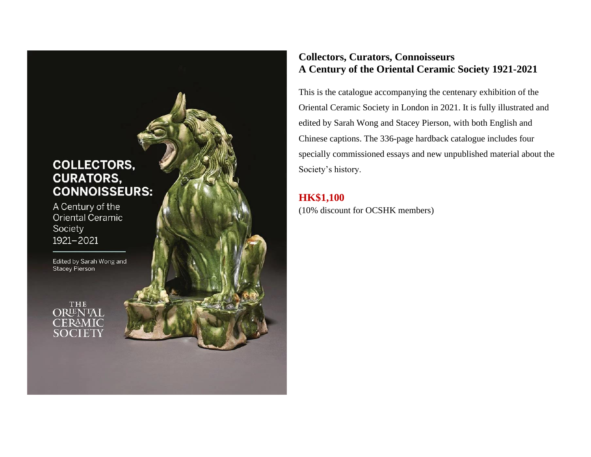# **COLLECTORS, CURATORS, CONNOISSEURS:**

A Century of the Oriental Ceramic Society 1921-2021

Edited by Sarah Wong and<br>Stacey Pierson

**ORLENTAL** CERAMIC

### **Collectors, Curators, Connoisseurs A Century of the Oriental Ceramic Society 1921-2021**

This is the catalogue accompanying the centenary exhibition of the Oriental Ceramic Society in London in 2021. It is fully illustrated and edited by Sarah Wong and Stacey Pierson, with both English and Chinese captions. The 336-page hardback catalogue includes four specially commissioned essays and new unpublished material about the Society's history.

### **HK\$1,100**

(10% discount for OCSHK members)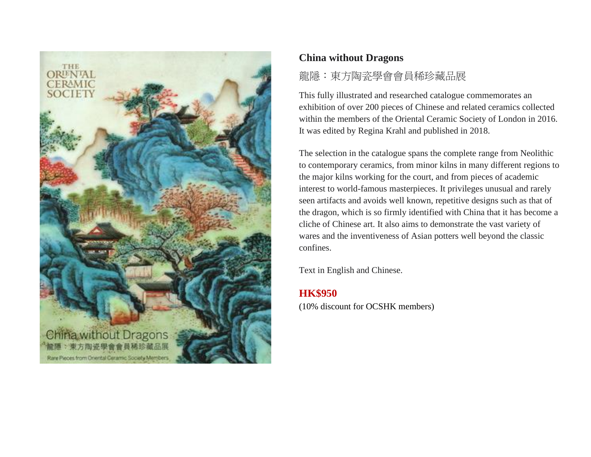

### **China without Dragons**

# 龍隱:東方陶瓷學會會員稀珍藏品展

This fully illustrated and researched catalogue commemorates an exhibition of over 200 pieces of Chinese and related ceramics collected within the members of the Oriental Ceramic Society of London in 2016. It was edited by Regina Krahl and published in 2018.

The selection in the catalogue spans the complete range from Neolithic to contemporary ceramics, from minor kilns in many different regions to the major kilns working for the court, and from pieces of academic interest to world-famous masterpieces. It privileges unusual and rarely seen artifacts and avoids well known, repetitive designs such as that of the dragon, which is so firmly identified with China that it has become a cliche of Chinese art. It also aims to demonstrate the vast variety of wares and the inventiveness of Asian potters well beyond the classic confines.

Text in English and Chinese.

### **HK\$950**

(10% discount for OCSHK members)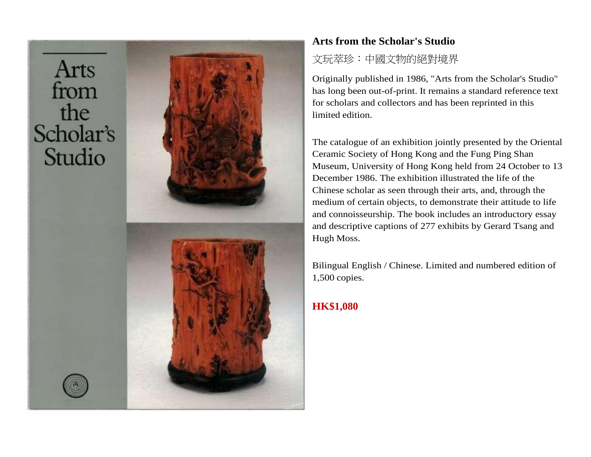Arts from the Scholar's Studio



## **Arts from the Scholar's Studio**

# 文玩萃珍:中國文物的絕對境界

Originally published in 1986, "Arts from the Scholar's Studio" has long been out-of-print. It remains a standard reference text for scholars and collectors and has been reprinted in this limited edition.

The catalogue of an exhibition jointly presented by the Oriental Ceramic Society of Hong Kong and the Fung Ping Shan Museum, University of Hong Kong held from 24 October to 13 December 1986. The exhibition illustrated the life of the Chinese scholar as seen through their arts, and, through the medium of certain objects, to demonstrate their attitude to life and connoisseurship. The book includes an introductory essay and descriptive captions of 277 exhibits by Gerard Tsang and Hugh Moss.

Bilingual English / Chinese. Limited and numbered edition of 1,500 copies.

# **HK\$1,080**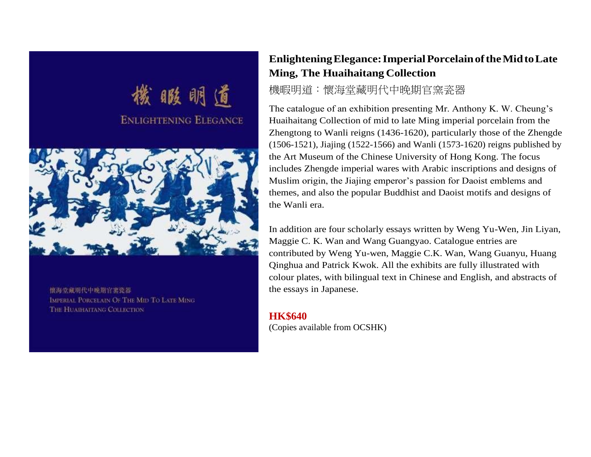

懷海堂藏期代中晚期官宴瓷器 IMPERIAL PORCELAIN OF THE MID TO LATE MING THE HUATHATTANG COLLECTION

## **EnlighteningElegance:ImperialPorcelainoftheMidtoLate Ming, The Huaihaitang Collection**

### 機暇明道:懷海堂藏明代中晚期官窯瓷器

The catalogue of an exhibition presenting Mr. Anthony K. W. Cheung's Huaihaitang Collection of mid to late Ming imperial porcelain from the Zhengtong to Wanli reigns (1436-1620), particularly those of the Zhengde (1506-1521), Jiajing (1522-1566) and Wanli (1573-1620) reigns published by the Art Museum of the Chinese University of Hong Kong. The focus includes Zhengde imperial wares with Arabic inscriptions and designs of Muslim origin, the Jiajing emperor's passion for Daoist emblems and themes, and also the popular Buddhist and Daoist motifs and designs of the Wanli era.

In addition are four scholarly essays written by Weng Yu-Wen, Jin Liyan, Maggie C. K. Wan and Wang Guangyao. Catalogue entries are contributed by Weng Yu-wen, Maggie C.K. Wan, Wang Guanyu, Huang Qinghua and Patrick Kwok. All the exhibits are fully illustrated with colour plates, with bilingual text in Chinese and English, and abstracts of the essays in Japanese.

**HK\$640** (Copies available from OCSHK)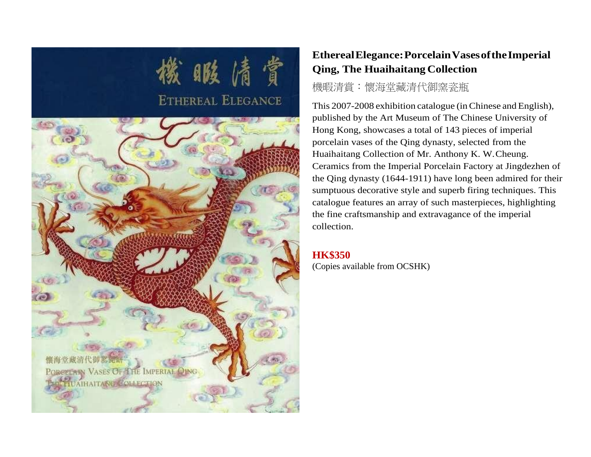

# **EtherealElegance:PorcelainVasesoftheImperial Qing, The Huaihaitang Collection**

# 機暇清賞:懷海堂藏清代御窯瓷瓶

This 2007-2008 exhibition catalogue (inChinese and English), published by the Art Museum of The Chinese University of Hong Kong, showcases a total of 143 pieces of imperial porcelain vases of the Qing dynasty, selected from the Huaihaitang Collection of Mr. Anthony K. W.Cheung. Ceramics from the Imperial Porcelain Factory at Jingdezhen of the Qing dynasty (1644-1911) have long been admired for their sumptuous decorative style and superb firing techniques. This catalogue features an array of such masterpieces, highlighting the fine craftsmanship and extravagance of the imperial collection.

### **HK\$350**

(Copies available from OCSHK)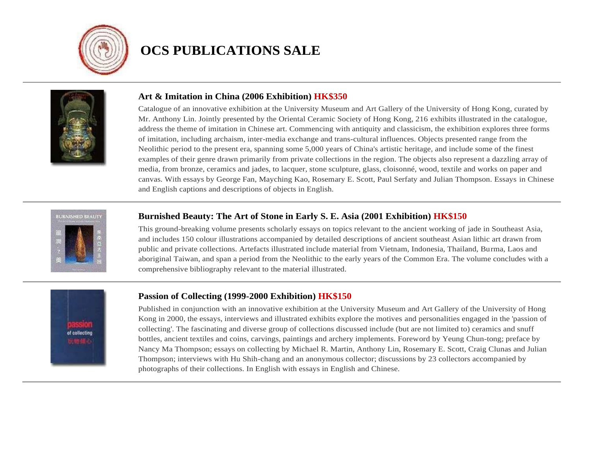

# **OCS PUBLICATIONS SALE**



#### **Art & Imitation in China (2006 Exhibition) HK\$350**

Catalogue of an innovative exhibition at the University Museum and Art Gallery of the University of Hong Kong, curated by Mr. Anthony Lin. Jointly presented by the Oriental Ceramic Society of Hong Kong, 216 exhibits illustrated in the catalogue, address the theme of imitation in Chinese art. Commencing with antiquity and classicism, the exhibition explores three forms of imitation, including archaism, inter-media exchange and trans-cultural influences. Objects presented range from the Neolithic period to the present era, spanning some 5,000 years of China's artistic heritage, and include some of the finest examples of their genre drawn primarily from private collections in the region. The objects also represent a dazzling array of media, from bronze, ceramics and jades, to lacquer, stone sculpture, glass, cloisonné, wood, textile and works on paper and canvas. With essays by George Fan, Mayching Kao, Rosemary E. Scott, Paul Serfaty and Julian Thompson. Essays in Chinese and English captions and descriptions of objects in English.



#### **Burnished Beauty: The Art of Stone in Early S. E. Asia (2001 Exhibition) HK\$150**

This ground-breaking volume presents scholarly essays on topics relevant to the ancient working of jade in Southeast Asia, and includes 150 colour illustrations accompanied by detailed descriptions of ancient southeast Asian lithic art drawn from public and private collections. Artefacts illustrated include material from Vietnam, Indonesia, Thailand, Burma, Laos and aboriginal Taiwan, and span a period from the Neolithic to the early years of the Common Era. The volume concludes with a comprehensive bibliography relevant to the material illustrated.



#### **Passion of Collecting (1999-2000 Exhibition) HK\$150**

Published in conjunction with an innovative exhibition at the University Museum and Art Gallery of the University of Hong Kong in 2000, the essays, interviews and illustrated exhibits explore the motives and personalities engaged in the 'passion of collecting'. The fascinating and diverse group of collections discussed include (but are not limited to) ceramics and snuff bottles, ancient textiles and coins, carvings, paintings and archery implements. Foreword by Yeung Chun-tong; preface by Nancy Ma Thompson; essays on collecting by Michael R. Martin, Anthony Lin, Rosemary E. Scott, Craig Clunas and Julian Thompson; interviews with Hu Shih-chang and an anonymous collector; discussions by 23 collectors accompanied by photographs of their collections. In English with essays in English and Chinese.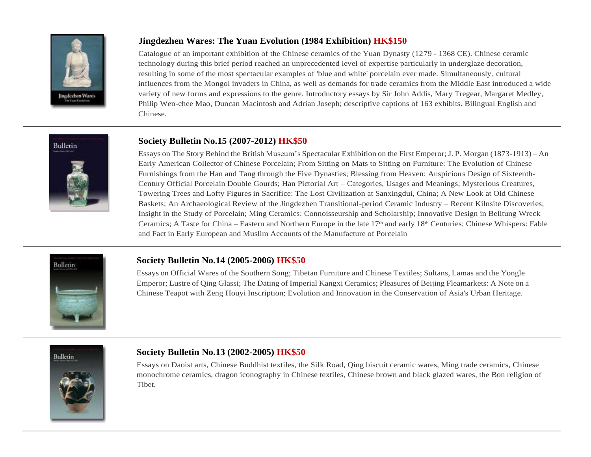

### **Jingdezhen Wares: The Yuan Evolution (1984 Exhibition) HK\$150**

Catalogue of an important exhibition of the Chinese ceramics of the Yuan Dynasty (1279 - 1368 CE). Chinese ceramic technology during this brief period reached an unprecedented level of expertise particularly in underglaze decoration, resulting in some of the most spectacular examples of 'blue and white' porcelain ever made. Simultaneously, cultural influences from the Mongol invaders in China, as well as demands for trade ceramics from the Middle East introduced a wide variety of new forms and expressions to the genre. Introductory essays by Sir John Addis, Mary Tregear, Margaret Medley, Philip Wen-chee Mao, Duncan Macintosh and Adrian Joseph; descriptive captions of 163 exhibits. Bilingual English and Chinese.



#### **Society Bulletin No.15 (2007-2012) HK\$50**

Essays on The Story Behind the British Museum's Spectacular Exhibition on the First Emperor;J. P. Morgan (1873-1913) – An Early American Collector of Chinese Porcelain; From Sitting on Mats to Sitting on Furniture: The Evolution of Chinese Furnishings from the Han and Tang through the Five Dynasties; Blessing from Heaven: Auspicious Design of Sixteenth-Century Official Porcelain Double Gourds; Han Pictorial Art – Categories, Usages and Meanings; Mysterious Creatures, Towering Trees and Lofty Figures in Sacrifice: The Lost Civilization at Sanxingdui, China; A New Look at Old Chinese Baskets; An Archaeological Review of the Jingdezhen Transitional-period Ceramic Industry – Recent Kilnsite Discoveries; Insight in the Study of Porcelain; Ming Ceramics: Connoisseurship and Scholarship; Innovative Design in Belitung Wreck Ceramics; A Taste for China – Eastern and Northern Europe in the late  $17<sup>th</sup>$  and early  $18<sup>th</sup>$  Centuries; Chinese Whispers: Fable and Fact in Early European and Muslim Accounts of the Manufacture of Porcelain



#### **Society Bulletin No.14 (2005-2006) HK\$50**

Essays on Official Wares of the Southern Song; Tibetan Furniture and Chinese Textiles; Sultans, Lamas and the Yongle Emperor; Lustre of Qing Glassi; The Dating of Imperial Kangxi Ceramics; Pleasures of Beijing Fleamarkets: A Note on a Chinese Teapot with Zeng Houyi Inscription; Evolution and Innovation in the Conservation of Asia's Urban Heritage.



#### **Society Bulletin No.13 (2002-2005) HK\$50**

Essays on Daoist arts, Chinese Buddhist textiles, the Silk Road, Qing biscuit ceramic wares, Ming trade ceramics, Chinese monochrome ceramics, dragon iconography in Chinese textiles, Chinese brown and black glazed wares, the Bon religion of Tibet.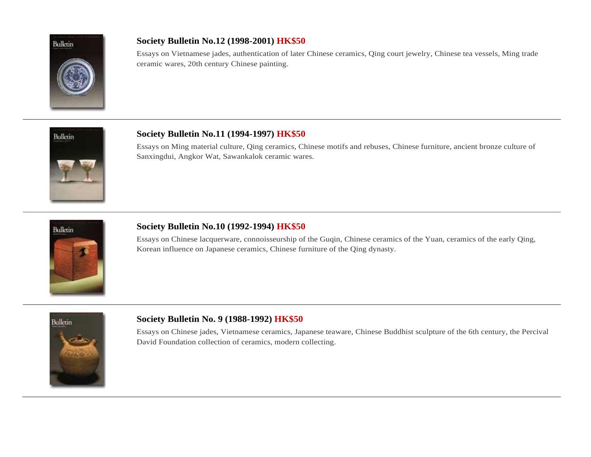

### **Society Bulletin No.12 (1998-2001) HK\$50**

Essays on Vietnamese jades, authentication of later Chinese ceramics, Qing court jewelry, Chinese tea vessels, Ming trade ceramic wares, 20th century Chinese painting.



#### **Society Bulletin No.11 (1994-1997) HK\$50**

Essays on Ming material culture, Qing ceramics, Chinese motifs and rebuses, Chinese furniture, ancient bronze culture of Sanxingdui, Angkor Wat, Sawankalok ceramic wares.



#### **Society Bulletin No.10 (1992-1994) HK\$50**

Essays on Chinese lacquerware, connoisseurship of the Guqin, Chinese ceramics of the Yuan, ceramics of the early Qing, Korean influence on Japanese ceramics, Chinese furniture of the Qing dynasty.



#### **Society Bulletin No. 9 (1988-1992) HK\$50**

Essays on Chinese jades, Vietnamese ceramics, Japanese teaware, Chinese Buddhist sculpture of the 6th century, the Percival David Foundation collection of ceramics, modern collecting.